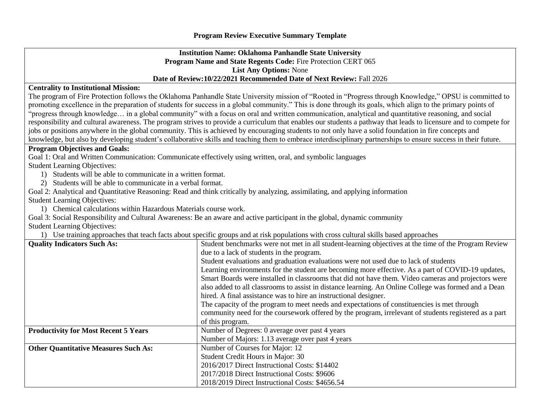## **Institution Name: Oklahoma Panhandle State University Program Name and State Regents Code:** Fire Protection CERT 065 **List Any Options:** None **Date of Review:10/22/2021 Recommended Date of Next Review:** Fall 2026

## **Centrality to Institutional Mission:**

The program of Fire Protection follows the Oklahoma Panhandle State University mission of "Rooted in "Progress through Knowledge," OPSU is committed to promoting excellence in the preparation of students for success in a global community." This is done through its goals, which align to the primary points of "progress through knowledge… in a global community" with a focus on oral and written communication, analytical and quantitative reasoning, and social responsibility and cultural awareness. The program strives to provide a curriculum that enables our students a pathway that leads to licensure and to compete for jobs or positions anywhere in the global community. This is achieved by encouraging students to not only have a solid foundation in fire concepts and knowledge, but also by developing student's collaborative skills and teaching them to embrace interdisciplinary partnerships to ensure success in their future.

## **Program Objectives and Goals:**

Goal 1: Oral and Written Communication: Communicate effectively using written, oral, and symbolic languages

Student Learning Objectives:

- 1) Students will be able to communicate in a written format.
- 2) Students will be able to communicate in a verbal format.

Goal 2: Analytical and Quantitative Reasoning: Read and think critically by analyzing, assimilating, and applying information Student Learning Objectives:

1) Chemical calculations within Hazardous Materials course work.

Goal 3: Social Responsibility and Cultural Awareness: Be an aware and active participant in the global, dynamic community Student Learning Objectives:

1) Use training approaches that teach facts about specific groups and at risk populations with cross cultural skills based approaches

| <b>Quality Indicators Such As:</b>          | Student benchmarks were not met in all student-learning objectives at the time of the Program Review  |  |  |  |  |  |
|---------------------------------------------|-------------------------------------------------------------------------------------------------------|--|--|--|--|--|
|                                             | due to a lack of students in the program.                                                             |  |  |  |  |  |
|                                             | Student evaluations and graduation evaluations were not used due to lack of students                  |  |  |  |  |  |
|                                             | Learning environments for the student are becoming more effective. As a part of COVID-19 updates,     |  |  |  |  |  |
|                                             | Smart Boards were installed in classrooms that did not have them. Video cameras and projectors were   |  |  |  |  |  |
|                                             | also added to all classrooms to assist in distance learning. An Online College was formed and a Dean  |  |  |  |  |  |
|                                             | hired. A final assistance was to hire an instructional designer.                                      |  |  |  |  |  |
|                                             | The capacity of the program to meet needs and expectations of constituencies is met through           |  |  |  |  |  |
|                                             | community need for the coursework offered by the program, irrelevant of students registered as a part |  |  |  |  |  |
|                                             | of this program.                                                                                      |  |  |  |  |  |
| <b>Productivity for Most Recent 5 Years</b> | Number of Degrees: 0 average over past 4 years                                                        |  |  |  |  |  |
|                                             | Number of Majors: 1.13 average over past 4 years                                                      |  |  |  |  |  |
| <b>Other Quantitative Measures Such As:</b> | Number of Courses for Major: 12                                                                       |  |  |  |  |  |
|                                             | Student Credit Hours in Major: 30                                                                     |  |  |  |  |  |
|                                             | 2016/2017 Direct Instructional Costs: \$14402                                                         |  |  |  |  |  |
|                                             | 2017/2018 Direct Instructional Costs: \$9606                                                          |  |  |  |  |  |
|                                             | 2018/2019 Direct Instructional Costs: \$4656.54                                                       |  |  |  |  |  |